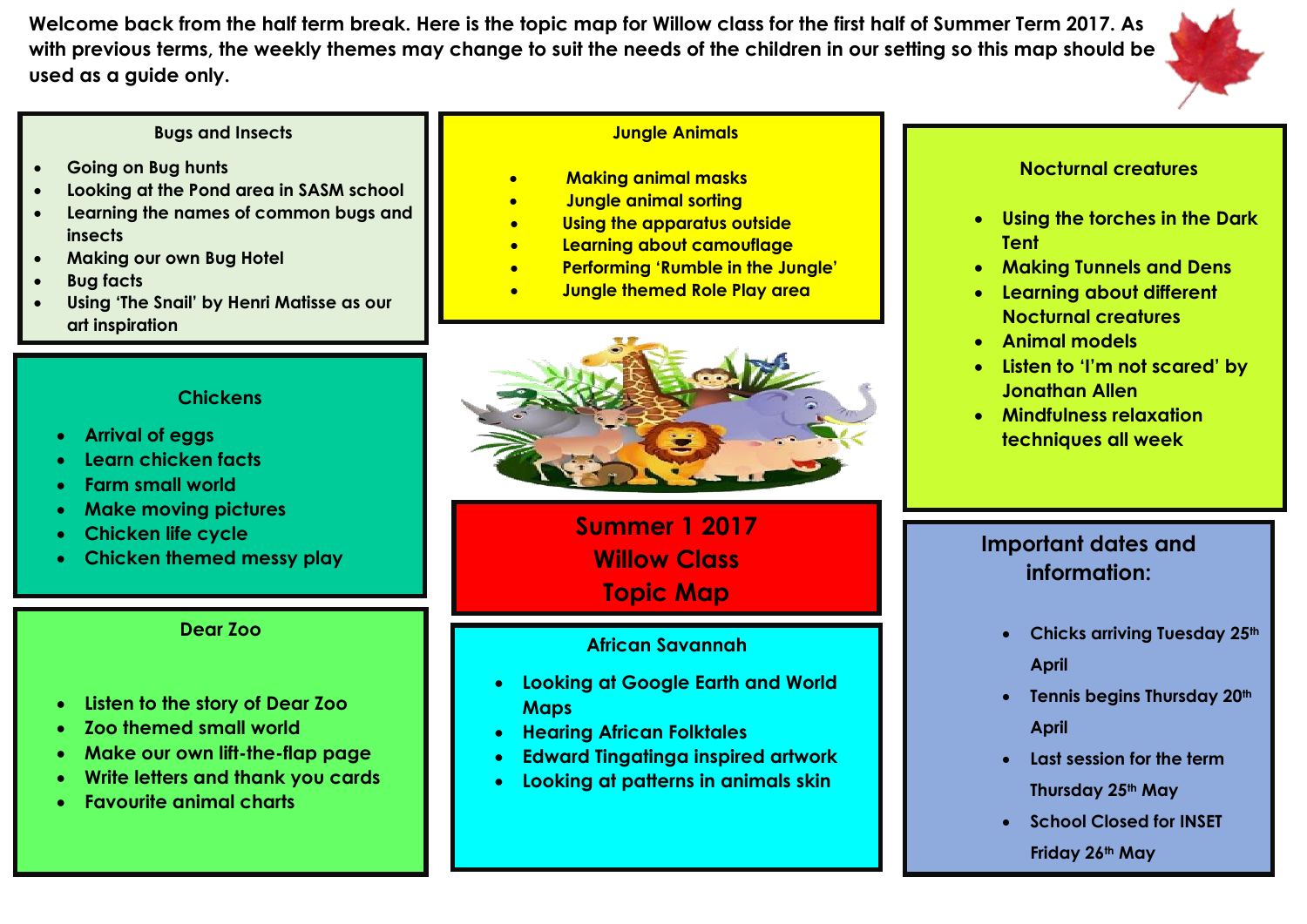**Welcome back from the half term break. Here is the topic map for Willow class for the first half of Summer Term 2017. As with previous terms, the weekly themes may change to suit the needs of the children in our setting so this map should be used as a guide only.** 

#### **Bugs and Insects**

- **Going on Bug hunts**
- **Looking at the Pond area in SASM school**
- **Learning the names of common bugs and insects**
- **Making our own Bug Hotel**
- **Bug facts**
- **Using 'The Snail' by Henri Matisse as our art inspiration**

#### **Jungle Animals**

- **Making animal masks**
- **Jungle animal sorting**
- **Using the apparatus outside**
- **Learning about camouflage**
- **Performing 'Rumble in the Jungle'**
- **Jungle themed Role Play area**



**Summer 1 2017 Willow Class Topic Map**

### **African Savannah**

- **Looking at Google Earth and World Maps**
- **Hearing African Folktales**
- **Edward Tingatinga inspired artwork**
- **Looking at patterns in animals skin**

#### **Nocturnal creatures**

- **Using the torches in the Dark Tent**
- **Making Tunnels and Dens**
- **Learning about different Nocturnal creatures**
- **Animal models**
- **Listen to 'I'm not scared' by Jonathan Allen**
- **Mindfulness relaxation techniques all week**

## **Important dates and information:**

- **Chicks arriving Tuesday 25th April**
- **Tennis begins Thursday 20th April**
- **Last session for the term Thursday 25th May**
- **School Closed for INSET** 
	- **Friday 26th May**

## **Chickens**

- **Arrival of eggs**
- **Learn chicken facts**
- **Farm small world**
- **Make moving pictures**
- **Chicken life cycle**
- **Chicken themed messy play**

## **Dear Zoo**

- **Listen to the story of Dear Zoo**
- **Zoo themed small world**
- **Make our own lift-the-flap page**
- **Write letters and thank you cards**
- **Favourite animal charts**